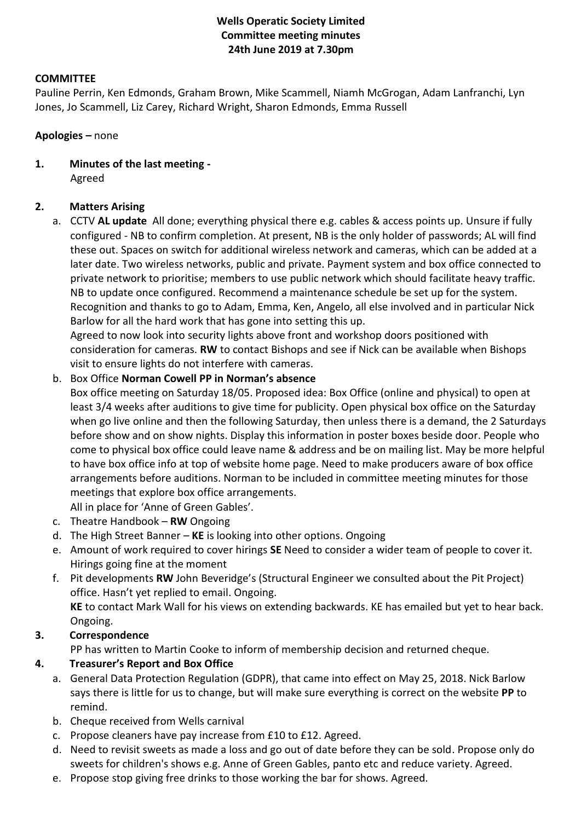# **Wells Operatic Society Limited Committee meeting minutes 24th June 2019 at 7.30pm**

#### **COMMITTEE**

Pauline Perrin, Ken Edmonds, Graham Brown, Mike Scammell, Niamh McGrogan, Adam Lanfranchi, Lyn Jones, Jo Scammell, Liz Carey, Richard Wright, Sharon Edmonds, Emma Russell

#### **Apologies –** none

**1. Minutes of the last meeting -** Agreed

### **2. Matters Arising**

a. CCTV **AL update** All done; everything physical there e.g. cables & access points up. Unsure if fully configured - NB to confirm completion. At present, NB is the only holder of passwords; AL will find these out. Spaces on switch for additional wireless network and cameras, which can be added at a later date. Two wireless networks, public and private. Payment system and box office connected to private network to prioritise; members to use public network which should facilitate heavy traffic. NB to update once configured. Recommend a maintenance schedule be set up for the system. Recognition and thanks to go to Adam, Emma, Ken, Angelo, all else involved and in particular Nick Barlow for all the hard work that has gone into setting this up.

Agreed to now look into security lights above front and workshop doors positioned with consideration for cameras. **RW** to contact Bishops and see if Nick can be available when Bishops visit to ensure lights do not interfere with cameras.

#### b. Box Office **Norman Cowell PP in Norman's absence**

Box office meeting on Saturday 18/05. Proposed idea: Box Office (online and physical) to open at least 3/4 weeks after auditions to give time for publicity. Open physical box office on the Saturday when go live online and then the following Saturday, then unless there is a demand, the 2 Saturdays before show and on show nights. Display this information in poster boxes beside door. People who come to physical box office could leave name & address and be on mailing list. May be more helpful to have box office info at top of website home page. Need to make producers aware of box office arrangements before auditions. Norman to be included in committee meeting minutes for those meetings that explore box office arrangements.

All in place for 'Anne of Green Gables'.

- c. Theatre Handbook **RW** Ongoing
- d. The High Street Banner **KE** is looking into other options. Ongoing
- e. Amount of work required to cover hirings **SE** Need to consider a wider team of people to cover it. Hirings going fine at the moment
- f. Pit developments **RW** John Beveridge's (Structural Engineer we consulted about the Pit Project) office. Hasn't yet replied to email. Ongoing. **KE** to contact Mark Wall for his views on extending backwards. KE has emailed but yet to hear back. Ongoing.

### **3. Correspondence**

PP has written to Martin Cooke to inform of membership decision and returned cheque.

### **4. Treasurer's Report and Box Office**

- a. General Data Protection Regulation (GDPR), that came into effect on May 25, 2018. Nick Barlow says there is little for us to change, but will make sure everything is correct on the website **PP** to remind.
- b. Cheque received from Wells carnival
- c. Propose cleaners have pay increase from £10 to £12. Agreed.
- d. Need to revisit sweets as made a loss and go out of date before they can be sold. Propose only do sweets for children's shows e.g. Anne of Green Gables, panto etc and reduce variety. Agreed.
- e. Propose stop giving free drinks to those working the bar for shows. Agreed.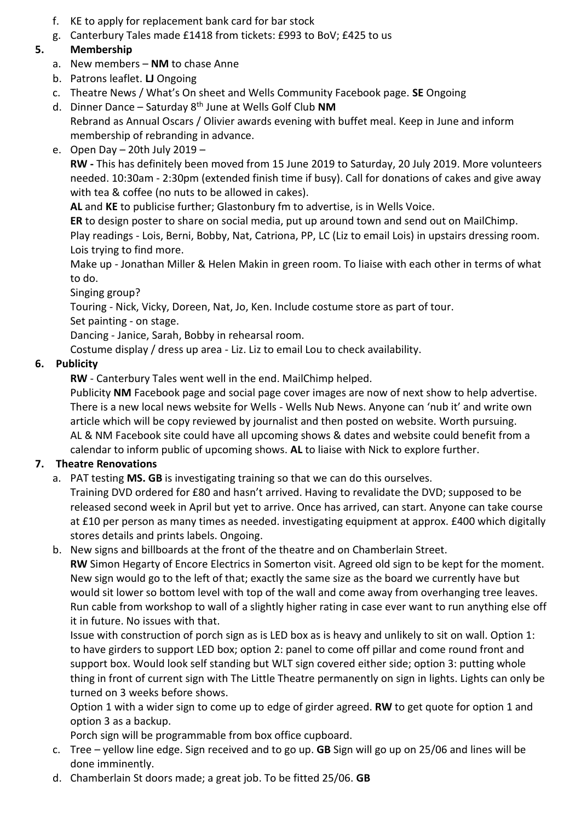- f. KE to apply for replacement bank card for bar stock
- g. Canterbury Tales made £1418 from tickets: £993 to BoV; £425 to us

# **5. Membership**

- a. New members **NM** to chase Anne
- b. Patrons leaflet. **LJ** Ongoing
- c. Theatre News / What's On sheet and Wells Community Facebook page. **SE** Ongoing
- d. Dinner Dance Saturday 8th June at Wells Golf Club **NM** Rebrand as Annual Oscars / Olivier awards evening with buffet meal. Keep in June and inform membership of rebranding in advance.
- e. Open Day 20th July 2019 –

**RW -** This has definitely been moved from 15 June 2019 to Saturday, 20 July 2019. More volunteers needed. 10:30am - 2:30pm (extended finish time if busy). Call for donations of cakes and give away with tea & coffee (no nuts to be allowed in cakes).

**AL** and **KE** to publicise further; Glastonbury fm to advertise, is in Wells Voice.

**ER** to design poster to share on social media, put up around town and send out on MailChimp.

Play readings - Lois, Berni, Bobby, Nat, Catriona, PP, LC (Liz to email Lois) in upstairs dressing room. Lois trying to find more.

Make up - Jonathan Miller & Helen Makin in green room. To liaise with each other in terms of what to do.

Singing group?

Touring - Nick, Vicky, Doreen, Nat, Jo, Ken. Include costume store as part of tour.

Set painting - on stage.

Dancing - Janice, Sarah, Bobby in rehearsal room.

Costume display / dress up area - Liz. Liz to email Lou to check availability.

# **6. Publicity**

**RW** - Canterbury Tales went well in the end. MailChimp helped.

Publicity **NM** Facebook page and social page cover images are now of next show to help advertise. There is a new local news website for Wells - Wells Nub News. Anyone can 'nub it' and write own article which will be copy reviewed by journalist and then posted on website. Worth pursuing. AL & NM Facebook site could have all upcoming shows & dates and website could benefit from a calendar to inform public of upcoming shows. **AL** to liaise with Nick to explore further.

# **7. Theatre Renovations**

a. PAT testing **MS. GB** is investigating training so that we can do this ourselves.

Training DVD ordered for £80 and hasn't arrived. Having to revalidate the DVD; supposed to be released second week in April but yet to arrive. Once has arrived, can start. Anyone can take course at £10 per person as many times as needed. investigating equipment at approx. £400 which digitally stores details and prints labels. Ongoing.

b. New signs and billboards at the front of the theatre and on Chamberlain Street.

**RW** Simon Hegarty of Encore Electrics in Somerton visit. Agreed old sign to be kept for the moment. New sign would go to the left of that; exactly the same size as the board we currently have but would sit lower so bottom level with top of the wall and come away from overhanging tree leaves. Run cable from workshop to wall of a slightly higher rating in case ever want to run anything else off it in future. No issues with that.

Issue with construction of porch sign as is LED box as is heavy and unlikely to sit on wall. Option 1: to have girders to support LED box; option 2: panel to come off pillar and come round front and support box. Would look self standing but WLT sign covered either side; option 3: putting whole thing in front of current sign with The Little Theatre permanently on sign in lights. Lights can only be turned on 3 weeks before shows.

Option 1 with a wider sign to come up to edge of girder agreed. **RW** to get quote for option 1 and option 3 as a backup.

Porch sign will be programmable from box office cupboard.

- c. Tree yellow line edge. Sign received and to go up. **GB** Sign will go up on 25/06 and lines will be done imminently.
- d. Chamberlain St doors made; a great job. To be fitted 25/06. **GB**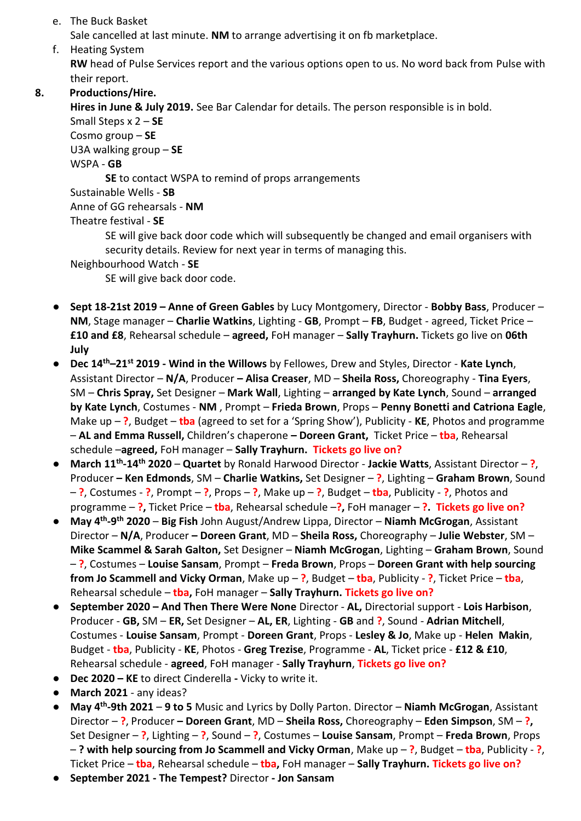e. The Buck Basket

Sale cancelled at last minute. **NM** to arrange advertising it on fb marketplace.

f. Heating System **RW** head of Pulse Services report and the various options open to us. No word back from Pulse with their report.

# **8. Productions/Hire.**

**Hires in June & July 2019.** See Bar Calendar for details. The person responsible is in bold. Small Steps x 2 – **SE** Cosmo group – **SE** U3A walking group – **SE** WSPA - **GB SE** to contact WSPA to remind of props arrangements Sustainable Wells - **SB** Anne of GG rehearsals - **NM** Theatre festival - **SE** SE will give back door code which will subsequently be changed and email organisers with security details. Review for next year in terms of managing this. Neighbourhood Watch - **SE**

SE will give back door code.

- **Sept 18-21st 2019 – Anne of Green Gables** by Lucy Montgomery, Director **Bobby Bass**, Producer **NM**, Stage manager – **Charlie Watkins**, Lighting - **GB**, Prompt – **FB**, Budget - agreed, Ticket Price – **£10 and £8**, Rehearsal schedule – **agreed,** FoH manager – **Sally Trayhurn.** Tickets go live on **06th July**
- **Dec 14th–21st 2019 - Wind in the Willows** by Fellowes, Drew and Styles, Director **Kate Lynch**, Assistant Director – **N/A**, Producer **– Alisa Creaser**, MD – **Sheila Ross,** Choreography - **Tina Eyers**, SM – **Chris Spray,** Set Designer – **Mark Wall**, Lighting – **arranged by Kate Lynch**, Sound – **arranged by Kate Lynch**, Costumes - **NM** , Prompt – **Frieda Brown**, Props – **Penny Bonetti and Catriona Eagle**, Make up – **?**, Budget – **tba** (agreed to set for a 'Spring Show'), Publicity - **KE**, Photos and programme – **AL and Emma Russell,** Children's chaperone **– Doreen Grant,** Ticket Price – **tba**, Rehearsal schedule –**agreed,** FoH manager – **Sally Trayhurn. Tickets go live on?**
- **March 11th -14th 2020 Quartet** by Ronald Harwood Director **Jackie Watts**, Assistant Director **?**, Producer **– Ken Edmonds**, SM – **Charlie Watkins,** Set Designer – **?**, Lighting – **Graham Brown**, Sound – **?**, Costumes - **?**, Prompt – **?**, Props – **?**, Make up – **?**, Budget – **tba**, Publicity - **?**, Photos and programme – **?,** Ticket Price – **tba**, Rehearsal schedule –**?,** FoH manager – **?. Tickets go live on?**
- **May 4th -9 th 2020 Big Fish** John August/Andrew Lippa, Director **Niamh McGrogan**, Assistant Director – **N/A**, Producer **– Doreen Grant**, MD – **Sheila Ross,** Choreography – **Julie Webster**, SM – **Mike Scammel & Sarah Galton,** Set Designer – **Niamh McGrogan**, Lighting – **Graham Brown**, Sound – **?**, Costumes – **Louise Sansam**, Prompt – **Freda Brown**, Props – **Doreen Grant with help sourcing from Jo Scammell and Vicky Orman**, Make up – **?**, Budget – **tba**, Publicity - **?**, Ticket Price – **tba**, Rehearsal schedule – **tba,** FoH manager – **Sally Trayhurn. Tickets go live on?**
- **September 2020 – And Then There Were None** Director **AL,** Directorial support **Lois Harbison**, Producer - **GB,** SM – **ER,** Set Designer – **AL, ER**, Lighting - **GB** and **?**, Sound - **Adrian Mitchell**, Costumes - **Louise Sansam**, Prompt - **Doreen Grant**, Props - **Lesley & Jo**, Make up - **Helen Makin**, Budget - **tba**, Publicity - **KE**, Photos - **Greg Trezise**, Programme - **AL**, Ticket price - **£12 & £10**, Rehearsal schedule - **agreed**, FoH manager - **Sally Trayhurn**, **Tickets go live on?**
- **Dec 2020 – KE** to direct Cinderella **-** Vicky to write it.
- **March 2021** any ideas?
- **May 4th -9th 2021 9 to 5** Music and Lyrics by Dolly Parton. Director **Niamh McGrogan**, Assistant Director – **?**, Producer **– Doreen Grant**, MD – **Sheila Ross,** Choreography – **Eden Simpson**, SM – **?,**  Set Designer – **?**, Lighting – **?**, Sound – **?**, Costumes – **Louise Sansam**, Prompt – **Freda Brown**, Props – **? with help sourcing from Jo Scammell and Vicky Orman**, Make up – **?**, Budget – **tba**, Publicity - **?**, Ticket Price – **tba**, Rehearsal schedule – **tba,** FoH manager – **Sally Trayhurn. Tickets go live on?**
- **September 2021 - The Tempest?** Director **- Jon Sansam**